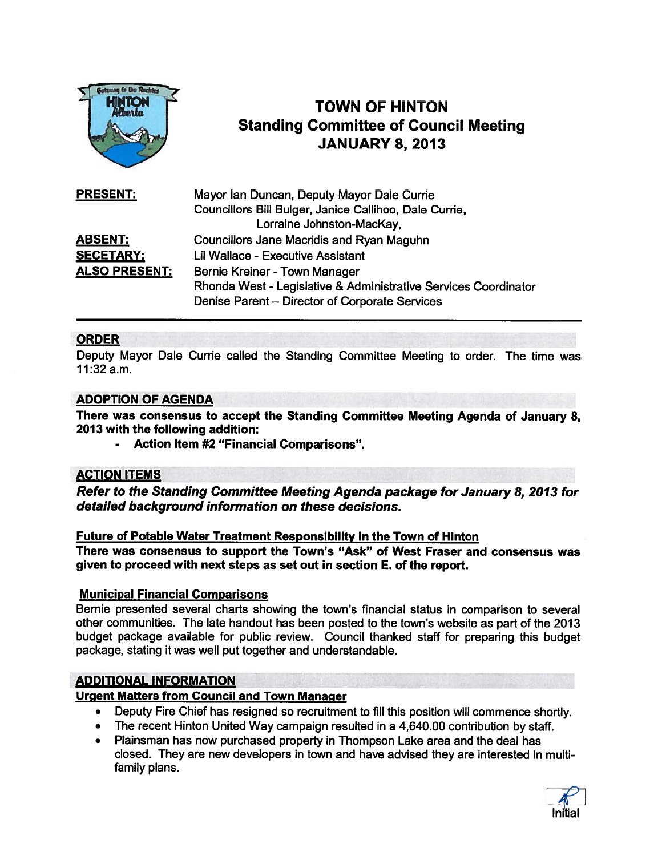

# TOWN OF HINTON Standing Committee of Council Meeting TOWN OF HINTON<br>
Alberta<br>
Standing Committee of Cour<br>
JANUARY 8, 2013

| <b>PRESENT:</b>      | Mayor Ian Duncan, Deputy Mayor Dale Currie                      |
|----------------------|-----------------------------------------------------------------|
|                      | Councillors Bill Bulger, Janice Callihoo, Dale Currie,          |
|                      | Lorraine Johnston-MacKay,                                       |
| <b>ABSENT:</b>       | <b>Councillors Jane Macridis and Ryan Maguhn</b>                |
| <b>SECETARY:</b>     | Lil Wallace - Executive Assistant                               |
| <b>ALSO PRESENT:</b> | Bernie Kreiner - Town Manager                                   |
|                      | Rhonda West - Legislative & Administrative Services Coordinator |
|                      | Denise Parent - Director of Corporate Services                  |

# ORDER

Deputy Mayor Dale Currie called the Standing Committee Meeting to order. The time was 11:32 a.m.

# ADOPTION OF AGENDA

There was consensus to accep<sup>t</sup> the Standing Committee Meeting Agenda of January 8, 2013 with the following addition:

Action Item #2 "Financial Comparisons".

# **ACTION ITEMS**

Refer to the Standing Committee Meeting Agenda package for January 8, 2013 for detailed background information on these decisions.

#### Future of Potable Water Treatment Responsibility in the Town of Hinton

There was consensus to suppor<sup>t</sup> the Town's "Ask" of West Fraser and consensus was given to proceed with next steps as set out in section E. of the report.

# Municipal Financial Comparisons

Bernie presented several charts showing the town's financial status in comparison to several other communities. The late handout has been posted to the town's website as par<sup>t</sup> of the 2013 budget package available for public review. Council thanked staff for preparing this budget package, stating it was well pu<sup>t</sup> together and understandable.

# ADDITIONAL INFORMATION

# Urgent Matters from Council and Town Manager

- Deputy Fire Chief has resigned so recruitment to fill this position will commence shortly.
- The recent Hinton United Way campaign resulted in <sup>a</sup> 4,640.00 contribution by staff.
- • Plainsman has now purchased property in Thompson Lake area and the deal has closed. They are new developers in town and have advised they are interested in multi family plans.